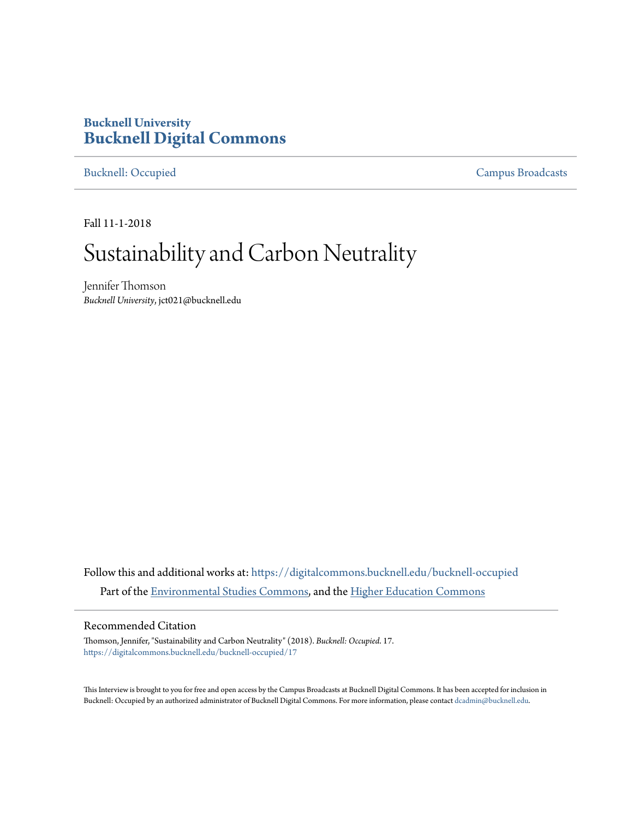# **Bucknell University [Bucknell Digital Commons](https://digitalcommons.bucknell.edu?utm_source=digitalcommons.bucknell.edu%2Fbucknell-occupied%2F17&utm_medium=PDF&utm_campaign=PDFCoverPages)**

[Bucknell: Occupied](https://digitalcommons.bucknell.edu/bucknell-occupied?utm_source=digitalcommons.bucknell.edu%2Fbucknell-occupied%2F17&utm_medium=PDF&utm_campaign=PDFCoverPages) [Campus Broadcasts](https://digitalcommons.bucknell.edu/campus-broadcasts?utm_source=digitalcommons.bucknell.edu%2Fbucknell-occupied%2F17&utm_medium=PDF&utm_campaign=PDFCoverPages)

Fall 11-1-2018

# Sustainability and Carbon Neutrality

Jennifer Thomson *Bucknell University*, jct021@bucknell.edu

Follow this and additional works at: [https://digitalcommons.bucknell.edu/bucknell-occupied](https://digitalcommons.bucknell.edu/bucknell-occupied?utm_source=digitalcommons.bucknell.edu%2Fbucknell-occupied%2F17&utm_medium=PDF&utm_campaign=PDFCoverPages) Part of the [Environmental Studies Commons](http://network.bepress.com/hgg/discipline/1333?utm_source=digitalcommons.bucknell.edu%2Fbucknell-occupied%2F17&utm_medium=PDF&utm_campaign=PDFCoverPages), and the [Higher Education Commons](http://network.bepress.com/hgg/discipline/1245?utm_source=digitalcommons.bucknell.edu%2Fbucknell-occupied%2F17&utm_medium=PDF&utm_campaign=PDFCoverPages)

#### Recommended Citation

Thomson, Jennifer, "Sustainability and Carbon Neutrality" (2018). *Bucknell: Occupied*. 17. [https://digitalcommons.bucknell.edu/bucknell-occupied/17](https://digitalcommons.bucknell.edu/bucknell-occupied/17?utm_source=digitalcommons.bucknell.edu%2Fbucknell-occupied%2F17&utm_medium=PDF&utm_campaign=PDFCoverPages)

This Interview is brought to you for free and open access by the Campus Broadcasts at Bucknell Digital Commons. It has been accepted for inclusion in Bucknell: Occupied by an authorized administrator of Bucknell Digital Commons. For more information, please contact [dcadmin@bucknell.edu](mailto:dcadmin@bucknell.edu).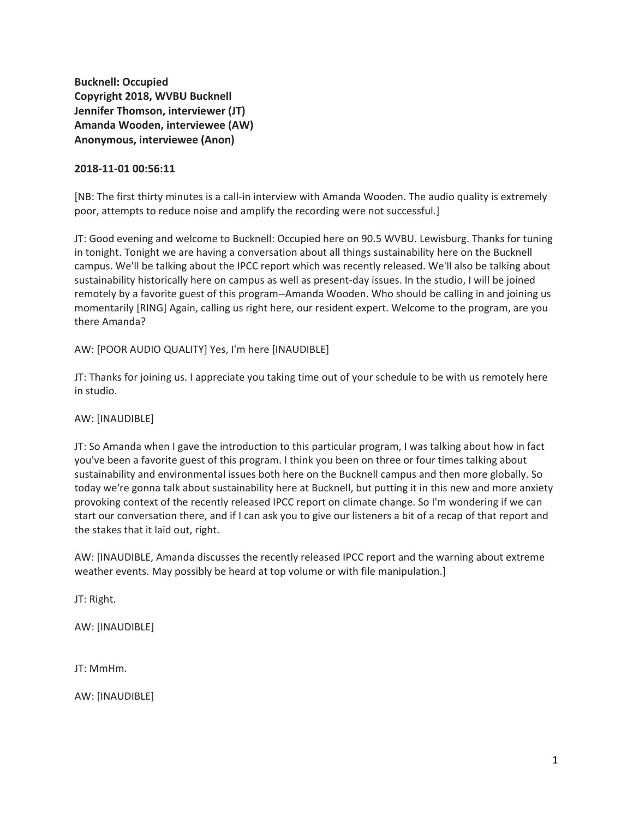**Bucknell: Occupied Copyright 2018, WVBU Bucknell Jennifer Thomson, interviewer (JT) Amanda Wooden, interviewee (AW) Anonymous, interviewee (Anon)**

#### **2018-11-01 00:56:11**

[NB: The first thirty minutes is a call-in interview with Amanda Wooden. The audio quality is extremely poor, attempts to reduce noise and amplify the recording were not successful.]

JT: Good evening and welcome to Bucknell: Occupied here on 90.5 WVBU. Lewisburg. Thanks for tuning in tonight. Tonight we are having a conversation about all things sustainability here on the Bucknell campus. We'll be talking about the IPCC report which was recently released. We'll also be talking about sustainability historically here on campus as well as present-day issues. In the studio, I will be joined remotely by a favorite guest of this program--Amanda Wooden. Who should be calling in and joining us momentarily [RING] Again, calling us right here, our resident expert. Welcome to the program, are you there Amanda?

AW: [POOR AUDIO QUALITY] Yes, I'm here [INAUDIBLE]

JT: Thanks for joining us. I appreciate you taking time out of your schedule to be with us remotely here in studio.

#### AW: [INAUDIBLE]

JT: So Amanda when I gave the introduction to this particular program, I was talking about how in fact you've been a favorite guest of this program. I think you been on three or four times talking about sustainability and environmental issues both here on the Bucknell campus and then more globally. So today we're gonna talk about sustainability here at Bucknell, but putting it in this new and more anxiety provoking context of the recently released IPCC report on climate change. So I'm wondering if we can start our conversation there, and if I can ask you to give our listeners a bit of a recap of that report and the stakes that it laid out, right.

AW: [INAUDIBLE, Amanda discusses the recently released IPCC report and the warning about extreme weather events. May possibly be heard at top volume or with file manipulation.]

JT: Right.

AW: [INAUDIBLE]

JT: MmHm.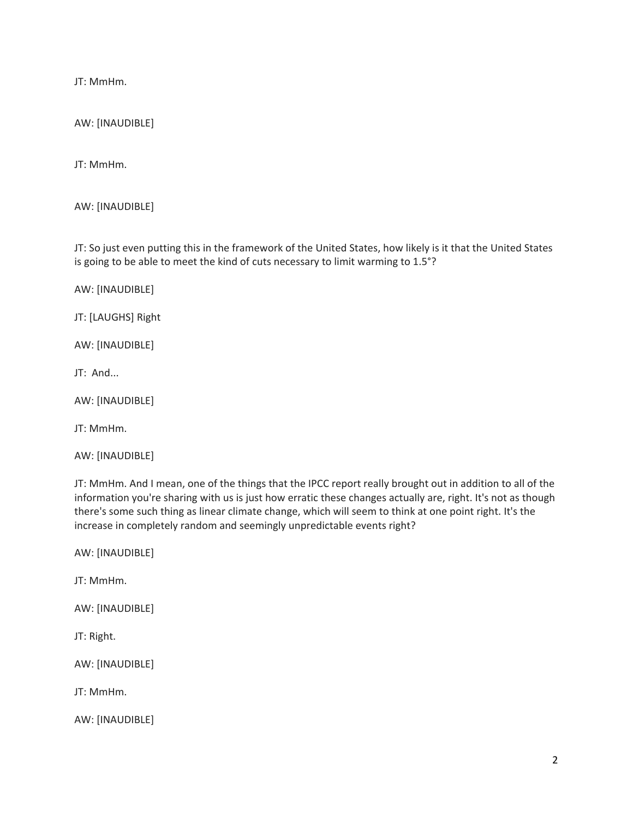JT: MmHm.

AW: [INAUDIBLE]

JT: MmHm.

AW: [INAUDIBLE]

JT: So just even putting this in the framework of the United States, how likely is it that the United States is going to be able to meet the kind of cuts necessary to limit warming to 1.5°?

AW: [INAUDIBLE]

JT: [LAUGHS] Right

AW: [INAUDIBLE]

JT: And...

AW: [INAUDIBLE]

JT: MmHm.

AW: [INAUDIBLE]

JT: MmHm. And I mean, one of the things that the IPCC report really brought out in addition to all of the information you're sharing with us is just how erratic these changes actually are, right. It's not as though there's some such thing as linear climate change, which will seem to think at one point right. It's the increase in completely random and seemingly unpredictable events right?

AW: [INAUDIBLE]

JT: MmHm.

AW: [INAUDIBLE]

JT: Right.

AW: [INAUDIBLE]

JT: MmHm.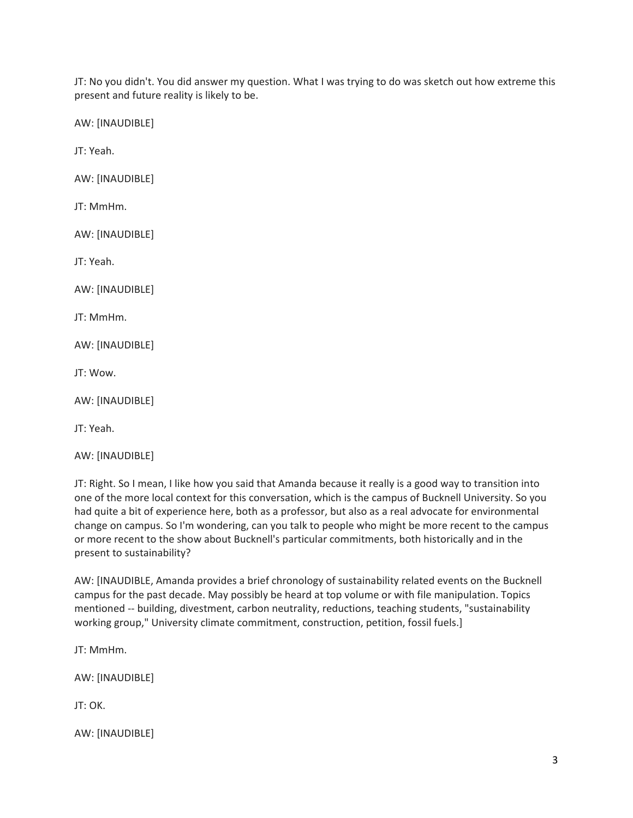JT: No you didn't. You did answer my question. What I was trying to do was sketch out how extreme this present and future reality is likely to be.

AW: [INAUDIBLE]

JT: Yeah.

AW: [INAUDIBLE]

JT: MmHm.

AW: [INAUDIBLE]

JT: Yeah.

AW: [INAUDIBLE]

JT: MmHm.

AW: [INAUDIBLE]

JT: Wow.

AW: [INAUDIBLE]

JT: Yeah.

AW: [INAUDIBLE]

JT: Right. So I mean, I like how you said that Amanda because it really is a good way to transition into one of the more local context for this conversation, which is the campus of Bucknell University. So you had quite a bit of experience here, both as a professor, but also as a real advocate for environmental change on campus. So I'm wondering, can you talk to people who might be more recent to the campus or more recent to the show about Bucknell's particular commitments, both historically and in the present to sustainability?

AW: [INAUDIBLE, Amanda provides a brief chronology of sustainability related events on the Bucknell campus for the past decade. May possibly be heard at top volume or with file manipulation. Topics mentioned -- building, divestment, carbon neutrality, reductions, teaching students, "sustainability working group," University climate commitment, construction, petition, fossil fuels.]

JT: MmHm.

AW: [INAUDIBLE]

JT: OK.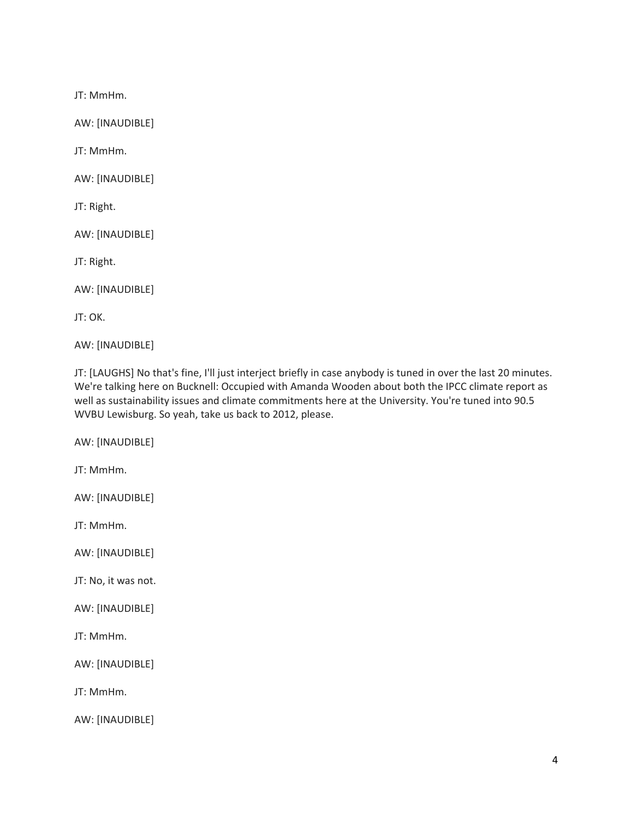JT: MmHm.

AW: [INAUDIBLE]

JT: MmHm.

AW: [INAUDIBLE]

JT: Right.

AW: [INAUDIBLE]

JT: Right.

AW: [INAUDIBLE]

JT: OK.

AW: [INAUDIBLE]

JT: [LAUGHS] No that's fine, I'll just interject briefly in case anybody is tuned in over the last 20 minutes. We're talking here on Bucknell: Occupied with Amanda Wooden about both the IPCC climate report as well as sustainability issues and climate commitments here at the University. You're tuned into 90.5 WVBU Lewisburg. So yeah, take us back to 2012, please.

AW: [INAUDIBLE]

JT: MmHm.

AW: [INAUDIBLE]

JT: MmHm.

AW: [INAUDIBLE]

JT: No, it was not.

AW: [INAUDIBLE]

JT: MmHm.

AW: [INAUDIBLE]

JT: MmHm.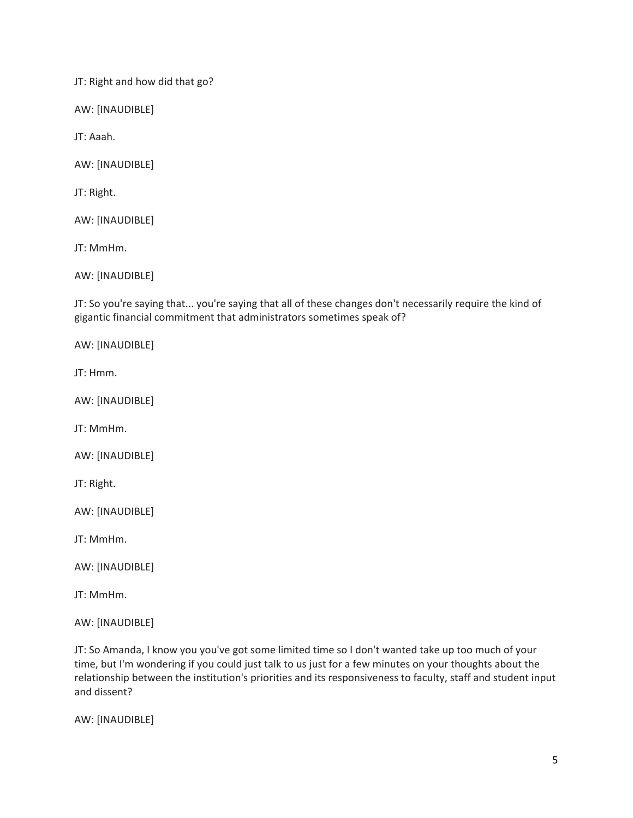JT: Right and how did that go?

AW: [INAUDIBLE]

JT: Aaah.

AW: [INAUDIBLE]

JT: Right.

AW: [INAUDIBLE]

JT: MmHm.

AW: [INAUDIBLE]

JT: So you're saying that... you're saying that all of these changes don't necessarily require the kind of gigantic financial commitment that administrators sometimes speak of?

AW: [INAUDIBLE]

JT: Hmm.

AW: [INAUDIBLE]

JT: MmHm.

AW: [INAUDIBLE]

JT: Right.

AW: [INAUDIBLE]

JT: MmHm.

AW: [INAUDIBLE]

JT: MmHm.

AW: [INAUDIBLE]

JT: So Amanda, I know you you've got some limited time so I don't wanted take up too much of your time, but I'm wondering if you could just talk to us just for a few minutes on your thoughts about the relationship between the institution's priorities and its responsiveness to faculty, staff and student input and dissent?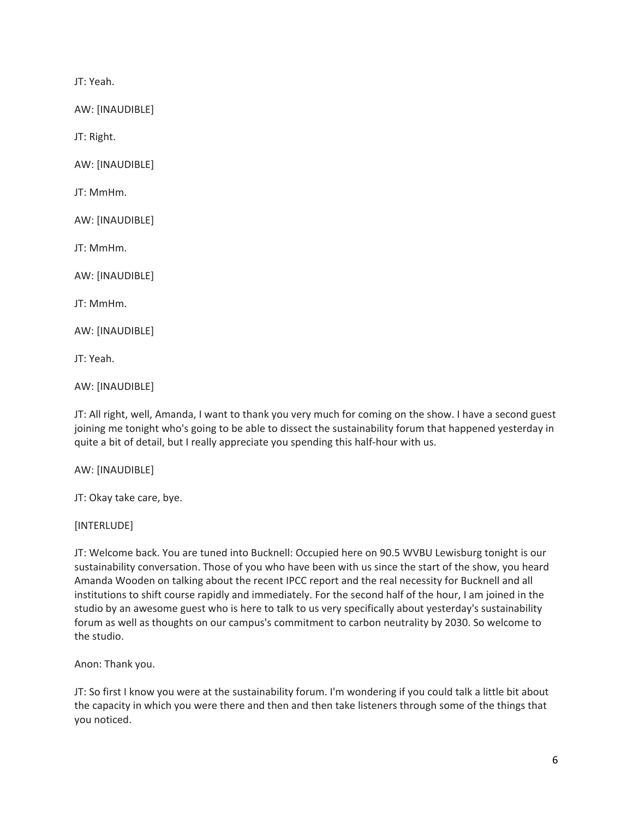JT: Yeah.

AW: [INAUDIBLE]

JT: Right.

AW: [INAUDIBLE]

JT: MmHm.

AW: [INAUDIBLE]

JT: MmHm.

AW: [INAUDIBLE]

JT: MmHm.

AW: [INAUDIBLE]

JT: Yeah.

AW: [INAUDIBLE]

JT: All right, well, Amanda, I want to thank you very much for coming on the show. I have a second guest joining me tonight who's going to be able to dissect the sustainability forum that happened yesterday in quite a bit of detail, but I really appreciate you spending this half-hour with us.

AW: [INAUDIBLE]

JT: Okay take care, bye.

[INTERLUDE]

JT: Welcome back. You are tuned into Bucknell: Occupied here on 90.5 WVBU Lewisburg tonight is our sustainability conversation. Those of you who have been with us since the start of the show, you heard Amanda Wooden on talking about the recent IPCC report and the real necessity for Bucknell and all institutions to shift course rapidly and immediately. For the second half of the hour, I am joined in the studio by an awesome guest who is here to talk to us very specifically about yesterday's sustainability forum as well as thoughts on our campus's commitment to carbon neutrality by 2030. So welcome to the studio.

Anon: Thank you.

JT: So first I know you were at the sustainability forum. I'm wondering if you could talk a little bit about the capacity in which you were there and then and then take listeners through some of the things that you noticed.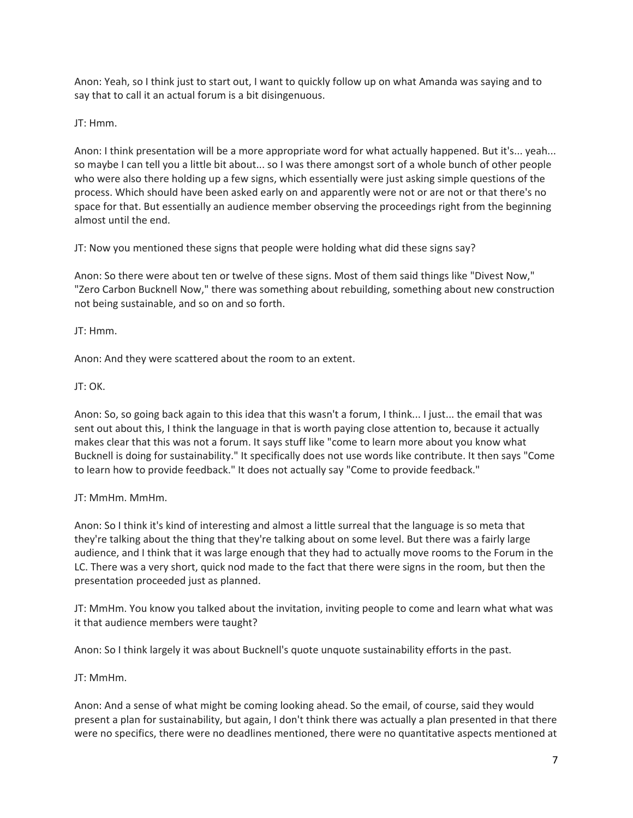Anon: Yeah, so I think just to start out, I want to quickly follow up on what Amanda was saying and to say that to call it an actual forum is a bit disingenuous.

JT: Hmm.

Anon: I think presentation will be a more appropriate word for what actually happened. But it's... yeah... so maybe I can tell you a little bit about... so I was there amongst sort of a whole bunch of other people who were also there holding up a few signs, which essentially were just asking simple questions of the process. Which should have been asked early on and apparently were not or are not or that there's no space for that. But essentially an audience member observing the proceedings right from the beginning almost until the end.

JT: Now you mentioned these signs that people were holding what did these signs say?

Anon: So there were about ten or twelve of these signs. Most of them said things like "Divest Now," "Zero Carbon Bucknell Now," there was something about rebuilding, something about new construction not being sustainable, and so on and so forth.

JT: Hmm.

Anon: And they were scattered about the room to an extent.

JT: OK.

Anon: So, so going back again to this idea that this wasn't a forum, I think... I just... the email that was sent out about this, I think the language in that is worth paying close attention to, because it actually makes clear that this was not a forum. It says stuff like "come to learn more about you know what Bucknell is doing for sustainability." It specifically does not use words like contribute. It then says "Come to learn how to provide feedback." It does not actually say "Come to provide feedback."

JT: MmHm. MmHm.

Anon: So I think it's kind of interesting and almost a little surreal that the language is so meta that they're talking about the thing that they're talking about on some level. But there was a fairly large audience, and I think that it was large enough that they had to actually move rooms to the Forum in the LC. There was a very short, quick nod made to the fact that there were signs in the room, but then the presentation proceeded just as planned.

JT: MmHm. You know you talked about the invitation, inviting people to come and learn what what was it that audience members were taught?

Anon: So I think largely it was about Bucknell's quote unquote sustainability efforts in the past.

JT: MmHm.

Anon: And a sense of what might be coming looking ahead. So the email, of course, said they would present a plan for sustainability, but again, I don't think there was actually a plan presented in that there were no specifics, there were no deadlines mentioned, there were no quantitative aspects mentioned at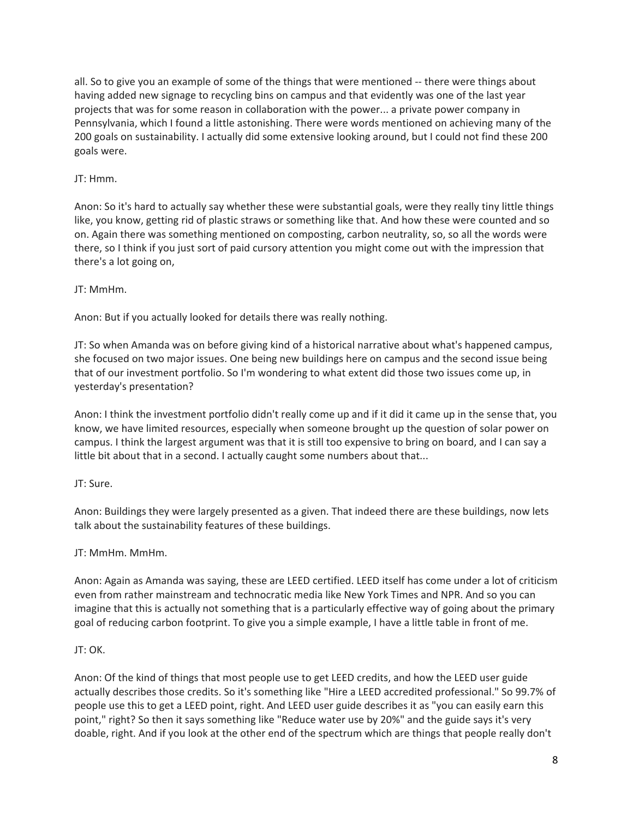all. So to give you an example of some of the things that were mentioned -- there were things about having added new signage to recycling bins on campus and that evidently was one of the last year projects that was for some reason in collaboration with the power... a private power company in Pennsylvania, which I found a little astonishing. There were words mentioned on achieving many of the 200 goals on sustainability. I actually did some extensive looking around, but I could not find these 200 goals were.

# JT: Hmm.

Anon: So it's hard to actually say whether these were substantial goals, were they really tiny little things like, you know, getting rid of plastic straws or something like that. And how these were counted and so on. Again there was something mentioned on composting, carbon neutrality, so, so all the words were there, so I think if you just sort of paid cursory attention you might come out with the impression that there's a lot going on,

# JT: MmHm.

Anon: But if you actually looked for details there was really nothing.

JT: So when Amanda was on before giving kind of a historical narrative about what's happened campus, she focused on two major issues. One being new buildings here on campus and the second issue being that of our investment portfolio. So I'm wondering to what extent did those two issues come up, in yesterday's presentation?

Anon: I think the investment portfolio didn't really come up and if it did it came up in the sense that, you know, we have limited resources, especially when someone brought up the question of solar power on campus. I think the largest argument was that it is still too expensive to bring on board, and I can say a little bit about that in a second. I actually caught some numbers about that...

# JT: Sure.

Anon: Buildings they were largely presented as a given. That indeed there are these buildings, now lets talk about the sustainability features of these buildings.

# JT: MmHm. MmHm.

Anon: Again as Amanda was saying, these are LEED certified. LEED itself has come under a lot of criticism even from rather mainstream and technocratic media like New York Times and NPR. And so you can imagine that this is actually not something that is a particularly effective way of going about the primary goal of reducing carbon footprint. To give you a simple example, I have a little table in front of me.

# JT: OK.

Anon: Of the kind of things that most people use to get LEED credits, and how the LEED user guide actually describes those credits. So it's something like "Hire a LEED accredited professional." So 99.7% of people use this to get a LEED point, right. And LEED user guide describes it as "you can easily earn this point," right? So then it says something like "Reduce water use by 20%" and the guide says it's very doable, right. And if you look at the other end of the spectrum which are things that people really don't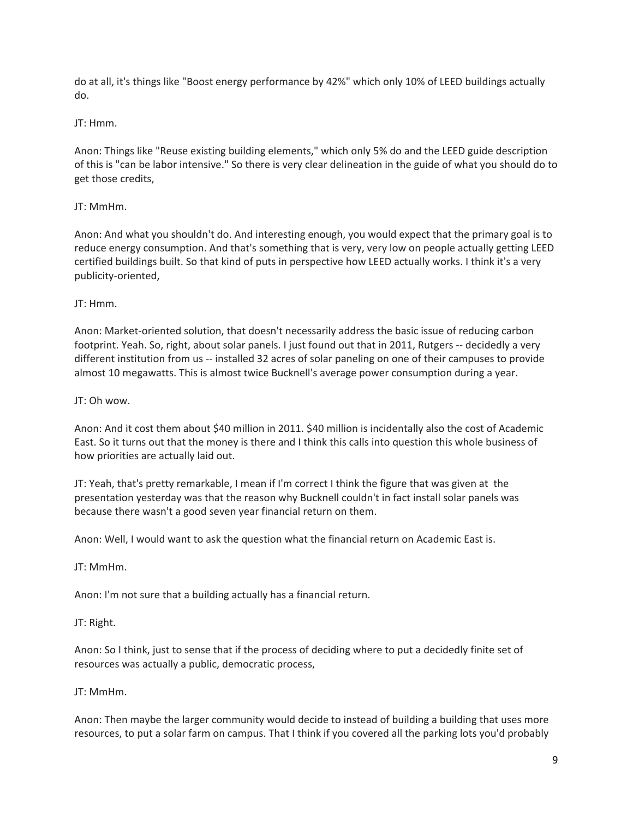do at all, it's things like "Boost energy performance by 42%" which only 10% of LEED buildings actually do.

#### JT: Hmm.

Anon: Things like "Reuse existing building elements," which only 5% do and the LEED guide description of this is "can be labor intensive." So there is very clear delineation in the guide of what you should do to get those credits,

#### JT: MmHm.

Anon: And what you shouldn't do. And interesting enough, you would expect that the primary goal is to reduce energy consumption. And that's something that is very, very low on people actually getting LEED certified buildings built. So that kind of puts in perspective how LEED actually works. I think it's a very publicity-oriented,

#### JT: Hmm.

Anon: Market-oriented solution, that doesn't necessarily address the basic issue of reducing carbon footprint. Yeah. So, right, about solar panels. I just found out that in 2011, Rutgers -- decidedly a very different institution from us -- installed 32 acres of solar paneling on one of their campuses to provide almost 10 megawatts. This is almost twice Bucknell's average power consumption during a year.

#### JT: Oh wow.

Anon: And it cost them about \$40 million in 2011. \$40 million is incidentally also the cost of Academic East. So it turns out that the money is there and I think this calls into question this whole business of how priorities are actually laid out.

JT: Yeah, that's pretty remarkable, I mean if I'm correct I think the figure that was given at the presentation yesterday was that the reason why Bucknell couldn't in fact install solar panels was because there wasn't a good seven year financial return on them.

Anon: Well, I would want to ask the question what the financial return on Academic East is.

JT: MmHm.

Anon: I'm not sure that a building actually has a financial return.

#### JT: Right.

Anon: So I think, just to sense that if the process of deciding where to put a decidedly finite set of resources was actually a public, democratic process,

#### JT: MmHm.

Anon: Then maybe the larger community would decide to instead of building a building that uses more resources, to put a solar farm on campus. That I think if you covered all the parking lots you'd probably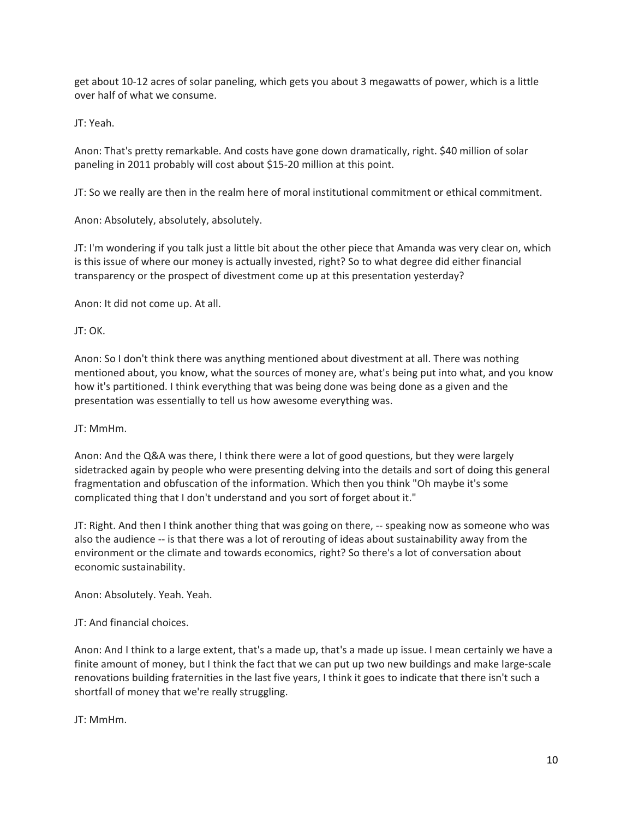get about 10-12 acres of solar paneling, which gets you about 3 megawatts of power, which is a little over half of what we consume.

JT: Yeah.

Anon: That's pretty remarkable. And costs have gone down dramatically, right. \$40 million of solar paneling in 2011 probably will cost about \$15-20 million at this point.

JT: So we really are then in the realm here of moral institutional commitment or ethical commitment.

Anon: Absolutely, absolutely, absolutely.

JT: I'm wondering if you talk just a little bit about the other piece that Amanda was very clear on, which is this issue of where our money is actually invested, right? So to what degree did either financial transparency or the prospect of divestment come up at this presentation yesterday?

Anon: It did not come up. At all.

JT: OK.

Anon: So I don't think there was anything mentioned about divestment at all. There was nothing mentioned about, you know, what the sources of money are, what's being put into what, and you know how it's partitioned. I think everything that was being done was being done as a given and the presentation was essentially to tell us how awesome everything was.

JT: MmHm.

Anon: And the Q&A was there, I think there were a lot of good questions, but they were largely sidetracked again by people who were presenting delving into the details and sort of doing this general fragmentation and obfuscation of the information. Which then you think "Oh maybe it's some complicated thing that I don't understand and you sort of forget about it."

JT: Right. And then I think another thing that was going on there, -- speaking now as someone who was also the audience -- is that there was a lot of rerouting of ideas about sustainability away from the environment or the climate and towards economics, right? So there's a lot of conversation about economic sustainability.

Anon: Absolutely. Yeah. Yeah.

JT: And financial choices.

Anon: And I think to a large extent, that's a made up, that's a made up issue. I mean certainly we have a finite amount of money, but I think the fact that we can put up two new buildings and make large-scale renovations building fraternities in the last five years, I think it goes to indicate that there isn't such a shortfall of money that we're really struggling.

JT: MmHm.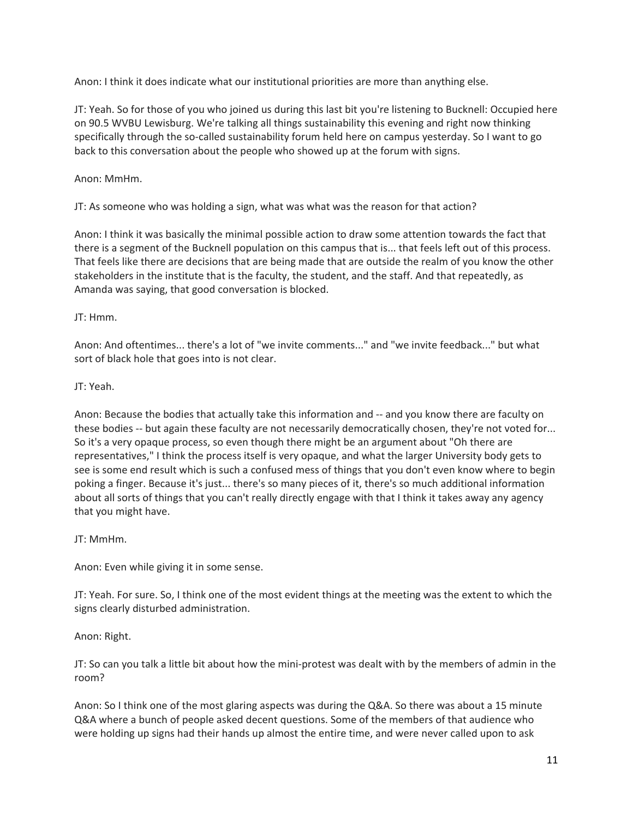Anon: I think it does indicate what our institutional priorities are more than anything else.

JT: Yeah. So for those of you who joined us during this last bit you're listening to Bucknell: Occupied here on 90.5 WVBU Lewisburg. We're talking all things sustainability this evening and right now thinking specifically through the so-called sustainability forum held here on campus yesterday. So I want to go back to this conversation about the people who showed up at the forum with signs.

Anon: MmHm.

JT: As someone who was holding a sign, what was what was the reason for that action?

Anon: I think it was basically the minimal possible action to draw some attention towards the fact that there is a segment of the Bucknell population on this campus that is... that feels left out of this process. That feels like there are decisions that are being made that are outside the realm of you know the other stakeholders in the institute that is the faculty, the student, and the staff. And that repeatedly, as Amanda was saying, that good conversation is blocked.

JT: Hmm.

Anon: And oftentimes... there's a lot of "we invite comments..." and "we invite feedback..." but what sort of black hole that goes into is not clear.

#### JT: Yeah.

Anon: Because the bodies that actually take this information and -- and you know there are faculty on these bodies -- but again these faculty are not necessarily democratically chosen, they're not voted for... So it's a very opaque process, so even though there might be an argument about "Oh there are representatives," I think the process itself is very opaque, and what the larger University body gets to see is some end result which is such a confused mess of things that you don't even know where to begin poking a finger. Because it's just... there's so many pieces of it, there's so much additional information about all sorts of things that you can't really directly engage with that I think it takes away any agency that you might have.

JT: MmHm.

Anon: Even while giving it in some sense.

JT: Yeah. For sure. So, I think one of the most evident things at the meeting was the extent to which the signs clearly disturbed administration.

Anon: Right.

JT: So can you talk a little bit about how the mini-protest was dealt with by the members of admin in the room?

Anon: So I think one of the most glaring aspects was during the Q&A. So there was about a 15 minute Q&A where a bunch of people asked decent questions. Some of the members of that audience who were holding up signs had their hands up almost the entire time, and were never called upon to ask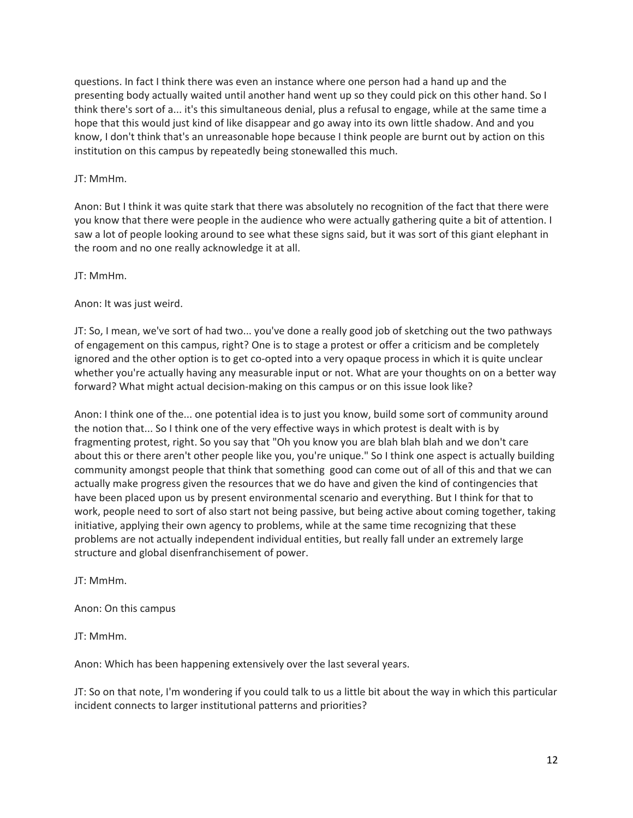questions. In fact I think there was even an instance where one person had a hand up and the presenting body actually waited until another hand went up so they could pick on this other hand. So I think there's sort of a... it's this simultaneous denial, plus a refusal to engage, while at the same time a hope that this would just kind of like disappear and go away into its own little shadow. And and you know, I don't think that's an unreasonable hope because I think people are burnt out by action on this institution on this campus by repeatedly being stonewalled this much.

#### JT: MmHm.

Anon: But I think it was quite stark that there was absolutely no recognition of the fact that there were you know that there were people in the audience who were actually gathering quite a bit of attention. I saw a lot of people looking around to see what these signs said, but it was sort of this giant elephant in the room and no one really acknowledge it at all.

JT: MmHm.

Anon: It was just weird.

JT: So, I mean, we've sort of had two... you've done a really good job of sketching out the two pathways of engagement on this campus, right? One is to stage a protest or offer a criticism and be completely ignored and the other option is to get co-opted into a very opaque process in which it is quite unclear whether you're actually having any measurable input or not. What are your thoughts on on a better way forward? What might actual decision-making on this campus or on this issue look like?

Anon: I think one of the... one potential idea is to just you know, build some sort of community around the notion that... So I think one of the very effective ways in which protest is dealt with is by fragmenting protest, right. So you say that "Oh you know you are blah blah blah and we don't care about this or there aren't other people like you, you're unique." So I think one aspect is actually building community amongst people that think that something good can come out of all of this and that we can actually make progress given the resources that we do have and given the kind of contingencies that have been placed upon us by present environmental scenario and everything. But I think for that to work, people need to sort of also start not being passive, but being active about coming together, taking initiative, applying their own agency to problems, while at the same time recognizing that these problems are not actually independent individual entities, but really fall under an extremely large structure and global disenfranchisement of power.

JT: MmHm.

Anon: On this campus

JT: MmHm.

Anon: Which has been happening extensively over the last several years.

JT: So on that note, I'm wondering if you could talk to us a little bit about the way in which this particular incident connects to larger institutional patterns and priorities?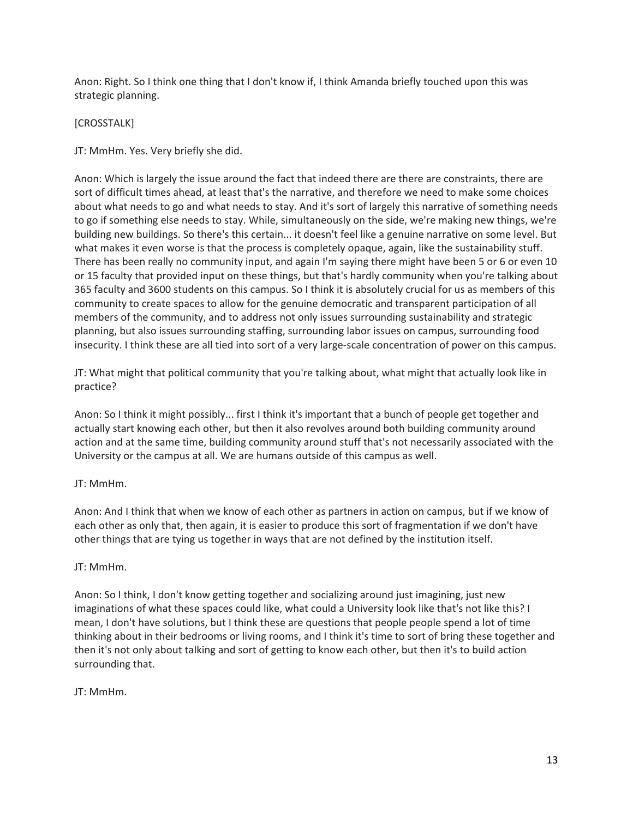Anon: Right. So I think one thing that I don't know if, I think Amanda briefly touched upon this was strategic planning.

#### [CROSSTALK]

JT: MmHm. Yes. Very briefly she did.

Anon: Which is largely the issue around the fact that indeed there are there are constraints, there are sort of difficult times ahead, at least that's the narrative, and therefore we need to make some choices about what needs to go and what needs to stay. And it's sort of largely this narrative of something needs to go if something else needs to stay. While, simultaneously on the side, we're making new things, we're building new buildings. So there's this certain... it doesn't feel like a genuine narrative on some level. But what makes it even worse is that the process is completely opaque, again, like the sustainability stuff. There has been really no community input, and again I'm saying there might have been 5 or 6 or even 10 or 15 faculty that provided input on these things, but that's hardly community when you're talking about 365 faculty and 3600 students on this campus. So I think it is absolutely crucial for us as members of this community to create spaces to allow for the genuine democratic and transparent participation of all members of the community, and to address not only issues surrounding sustainability and strategic planning, but also issues surrounding staffing, surrounding labor issues on campus, surrounding food insecurity. I think these are all tied into sort of a very large-scale concentration of power on this campus.

JT: What might that political community that you're talking about, what might that actually look like in practice?

Anon: So I think it might possibly... first I think it's important that a bunch of people get together and actually start knowing each other, but then it also revolves around both building community around action and at the same time, building community around stuff that's not necessarily associated with the University or the campus at all. We are humans outside of this campus as well.

#### JT: MmHm.

Anon: And I think that when we know of each other as partners in action on campus, but if we know of each other as only that, then again, it is easier to produce this sort of fragmentation if we don't have other things that are tying us together in ways that are not defined by the institution itself.

#### JT: MmHm.

Anon: So I think, I don't know getting together and socializing around just imagining, just new imaginations of what these spaces could like, what could a University look like that's not like this? I mean, I don't have solutions, but I think these are questions that people people spend a lot of time thinking about in their bedrooms or living rooms, and I think it's time to sort of bring these together and then it's not only about talking and sort of getting to know each other, but then it's to build action surrounding that.

JT: MmHm.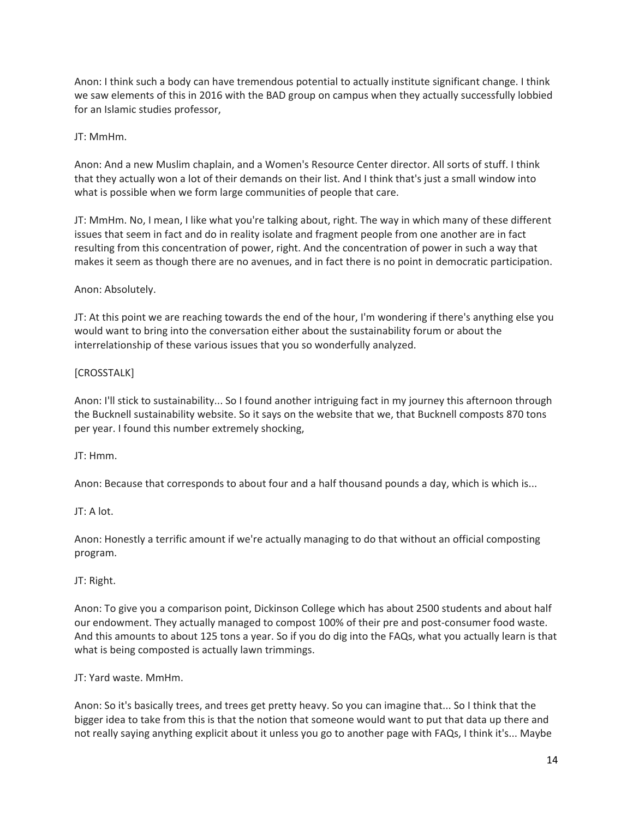Anon: I think such a body can have tremendous potential to actually institute significant change. I think we saw elements of this in 2016 with the BAD group on campus when they actually successfully lobbied for an Islamic studies professor,

### JT: MmHm.

Anon: And a new Muslim chaplain, and a Women's Resource Center director. All sorts of stuff. I think that they actually won a lot of their demands on their list. And I think that's just a small window into what is possible when we form large communities of people that care.

JT: MmHm. No, I mean, I like what you're talking about, right. The way in which many of these different issues that seem in fact and do in reality isolate and fragment people from one another are in fact resulting from this concentration of power, right. And the concentration of power in such a way that makes it seem as though there are no avenues, and in fact there is no point in democratic participation.

#### Anon: Absolutely.

JT: At this point we are reaching towards the end of the hour, I'm wondering if there's anything else you would want to bring into the conversation either about the sustainability forum or about the interrelationship of these various issues that you so wonderfully analyzed.

#### [CROSSTALK]

Anon: I'll stick to sustainability... So I found another intriguing fact in my journey this afternoon through the Bucknell sustainability website. So it says on the website that we, that Bucknell composts 870 tons per year. I found this number extremely shocking,

#### JT: Hmm.

Anon: Because that corresponds to about four and a half thousand pounds a day, which is which is...

# JT: A lot.

Anon: Honestly a terrific amount if we're actually managing to do that without an official composting program.

#### JT: Right.

Anon: To give you a comparison point, Dickinson College which has about 2500 students and about half our endowment. They actually managed to compost 100% of their pre and post-consumer food waste. And this amounts to about 125 tons a year. So if you do dig into the FAQs, what you actually learn is that what is being composted is actually lawn trimmings.

JT: Yard waste. MmHm.

Anon: So it's basically trees, and trees get pretty heavy. So you can imagine that... So I think that the bigger idea to take from this is that the notion that someone would want to put that data up there and not really saying anything explicit about it unless you go to another page with FAQs, I think it's... Maybe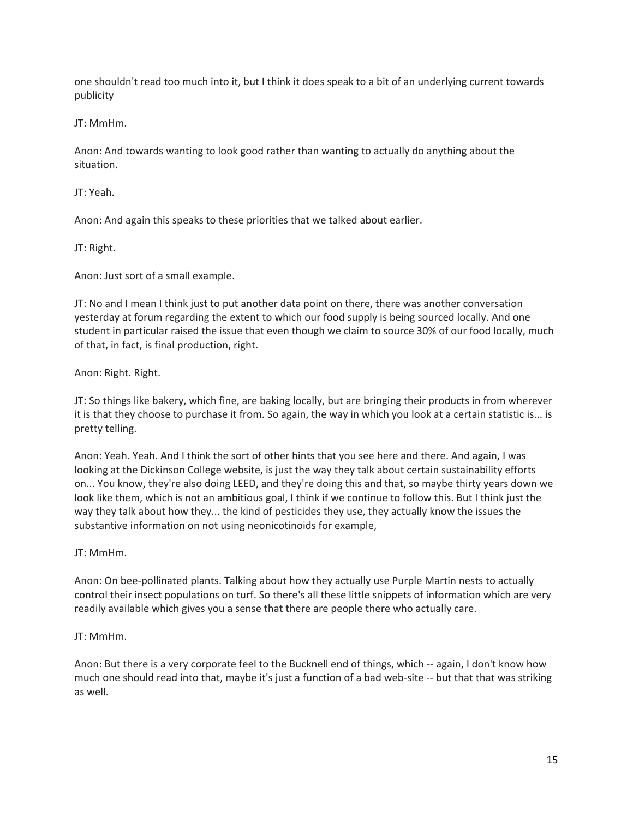one shouldn't read too much into it, but I think it does speak to a bit of an underlying current towards publicity

JT: MmHm.

Anon: And towards wanting to look good rather than wanting to actually do anything about the situation.

JT: Yeah.

Anon: And again this speaks to these priorities that we talked about earlier.

JT: Right.

Anon: Just sort of a small example.

JT: No and I mean I think just to put another data point on there, there was another conversation yesterday at forum regarding the extent to which our food supply is being sourced locally. And one student in particular raised the issue that even though we claim to source 30% of our food locally, much of that, in fact, is final production, right.

Anon: Right. Right.

JT: So things like bakery, which fine, are baking locally, but are bringing their products in from wherever it is that they choose to purchase it from. So again, the way in which you look at a certain statistic is... is pretty telling.

Anon: Yeah. Yeah. And I think the sort of other hints that you see here and there. And again, I was looking at the Dickinson College website, is just the way they talk about certain sustainability efforts on... You know, they're also doing LEED, and they're doing this and that, so maybe thirty years down we look like them, which is not an ambitious goal, I think if we continue to follow this. But I think just the way they talk about how they... the kind of pesticides they use, they actually know the issues the substantive information on not using neonicotinoids for example,

JT: MmHm.

Anon: On bee-pollinated plants. Talking about how they actually use Purple Martin nests to actually control their insect populations on turf. So there's all these little snippets of information which are very readily available which gives you a sense that there are people there who actually care.

# JT: MmHm.

Anon: But there is a very corporate feel to the Bucknell end of things, which -- again, I don't know how much one should read into that, maybe it's just a function of a bad web-site -- but that that was striking as well.